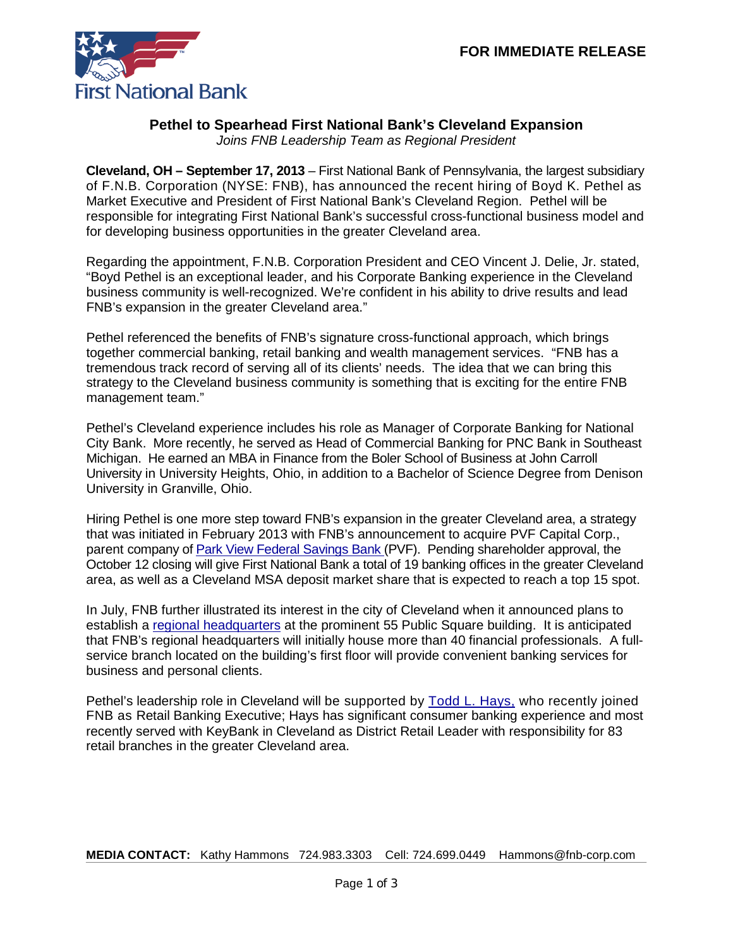

# **Pethel to Spearhead First National Bank's Cleveland Expansion**

*Joins FNB Leadership Team as Regional President*

**Cleveland, OH – September 17, 2013** – First National Bank of Pennsylvania, the largest subsidiary of F.N.B. Corporation (NYSE: FNB), has announced the recent hiring of Boyd K. Pethel as Market Executive and President of First National Bank's Cleveland Region. Pethel will be responsible for integrating First National Bank's successful cross-functional business model and for developing business opportunities in the greater Cleveland area.

Regarding the appointment, F.N.B. Corporation President and CEO Vincent J. Delie, Jr. stated, "Boyd Pethel is an exceptional leader, and his Corporate Banking experience in the Cleveland business community is well-recognized. We're confident in his ability to drive results and lead FNB's expansion in the greater Cleveland area."

Pethel referenced the benefits of FNB's signature cross-functional approach, which brings together commercial banking, retail banking and wealth management services. "FNB has a tremendous track record of serving all of its clients' needs. The idea that we can bring this strategy to the Cleveland business community is something that is exciting for the entire FNB management team."

Pethel's Cleveland experience includes his role as Manager of Corporate Banking for National City Bank. More recently, he served as Head of Commercial Banking for PNC Bank in Southeast Michigan. He earned an MBA in Finance from the Boler School of Business at John Carroll University in University Heights, Ohio, in addition to a Bachelor of Science Degree from Denison University in Granville, Ohio.

Hiring Pethel is one more step toward FNB's expansion in the greater Cleveland area, a strategy that was initiated in February 2013 with FNB's announcement to acquire PVF Capital Corp., parent company of [Park View Federal Savings Bank \(](http://www.fnbcorporation.com/NewsandPressReleases/2013/February/February192013.aspx)PVF). Pending shareholder approval, the October 12 closing will give First National Bank a total of 19 banking offices in the greater Cleveland area, as well as a Cleveland MSA deposit market share that is expected to reach a top 15 spot.

In July, FNB further illustrated its interest in the city of Cleveland when it announced plans to establish a [regional headquarters](https://www.fnb-online.com/News/2013/July/July112013.aspx) at the prominent 55 Public Square building. It is anticipated that FNB's regional headquarters will initially house more than 40 financial professionals. A fullservice branch located on the building's first floor will provide convenient banking services for business and personal clients.

Pethel's leadership role in Cleveland will be supported by [Todd L. Hays,](https://www.fnb-online.com/News/2013/July/July242013.aspx) who recently joined FNB as Retail Banking Executive; Hays has significant consumer banking experience and most recently served with KeyBank in Cleveland as District Retail Leader with responsibility for 83 retail branches in the greater Cleveland area.

**MEDIA CONTACT:** Kathy Hammons 724.983.3303 Cell: 724.699.0449 Hammons@fnb-corp.com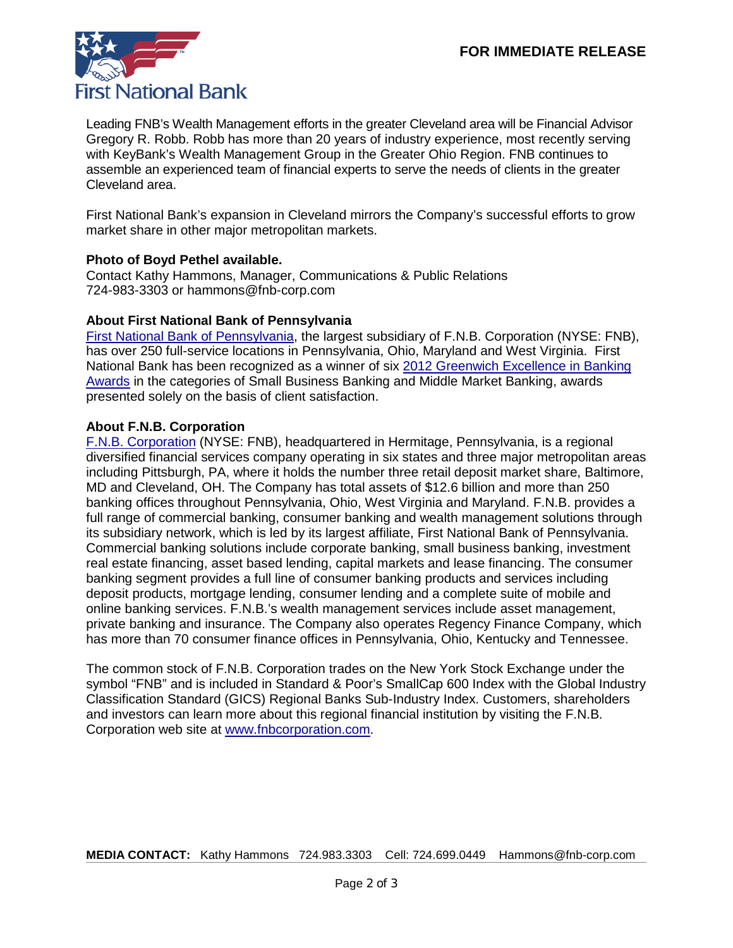

Leading FNB's Wealth Management efforts in the greater Cleveland area will be Financial Advisor Gregory R. Robb. Robb has more than 20 years of industry experience, most recently serving with KeyBank's Wealth Management Group in the Greater Ohio Region. FNB continues to assemble an experienced team of financial experts to serve the needs of clients in the greater Cleveland area.

First National Bank's expansion in Cleveland mirrors the Company's successful efforts to grow market share in other major metropolitan markets.

### **Photo of Boyd Pethel available.**

Contact Kathy Hammons, Manager, Communications & Public Relations 724-983-3303 or hammons@fnb-corp.com

#### **About First National Bank of Pennsylvania**

[First National Bank of Pennsylvania,](https://www.fnb-online.com/) the largest subsidiary of F.N.B. Corporation (NYSE: FNB), has over 250 full-service locations in Pennsylvania, Ohio, Maryland and West Virginia. First National Bank has been recognized as a winner of six [2012 Greenwich Excellence in Banking](https://www.fnb-online.com/News/2013/February/February212013.aspx)  [Awards](https://www.fnb-online.com/News/2013/February/February212013.aspx) in the categories of Small Business Banking and Middle Market Banking, awards presented solely on the basis of client satisfaction.

#### **About F.N.B. Corporation**

[F.N.B. Corporation](http://www.fnbcorporation.com/) (NYSE: FNB), headquartered in Hermitage, Pennsylvania, is a regional diversified financial services company operating in six states and three major metropolitan areas including Pittsburgh, PA, where it holds the number three retail deposit market share, Baltimore, MD and Cleveland, OH. The Company has total assets of \$12.6 billion and more than 250 banking offices throughout Pennsylvania, Ohio, West Virginia and Maryland. F.N.B. provides a full range of commercial banking, consumer banking and wealth management solutions through its subsidiary network, which is led by its largest affiliate, First National Bank of Pennsylvania. Commercial banking solutions include corporate banking, small business banking, investment real estate financing, asset based lending, capital markets and lease financing. The consumer banking segment provides a full line of consumer banking products and services including deposit products, mortgage lending, consumer lending and a complete suite of mobile and online banking services. F.N.B.'s wealth management services include asset management, private banking and insurance. The Company also operates Regency Finance Company, which has more than 70 consumer finance offices in Pennsylvania, Ohio, Kentucky and Tennessee.

The common stock of F.N.B. Corporation trades on the New York Stock Exchange under the symbol "FNB" and is included in Standard & Poor's SmallCap 600 Index with the Global Industry Classification Standard (GICS) Regional Banks Sub-Industry Index. Customers, shareholders and investors can learn more about this regional financial institution by visiting the F.N.B. Corporation web site at [www.fnbcorporation.com.](http://www.fnbcorporation.com/)

**MEDIA CONTACT:** Kathy Hammons 724.983.3303 Cell: 724.699.0449 Hammons@fnb-corp.com